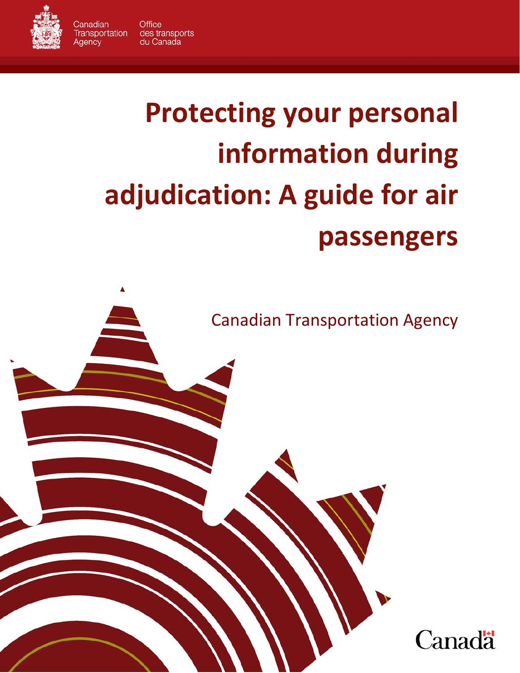

Canadian

Agency

# **Protecting your personal information during adjudication: A guide for air passengers**

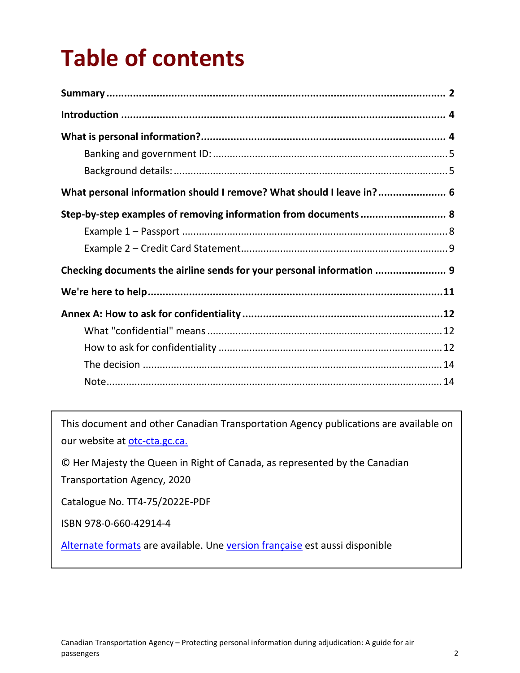## **Table of contents**

| What personal information should I remove? What should I leave in? 6  |  |
|-----------------------------------------------------------------------|--|
| Step-by-step examples of removing information from documents  8       |  |
|                                                                       |  |
|                                                                       |  |
| Checking documents the airline sends for your personal information  9 |  |
|                                                                       |  |
|                                                                       |  |
|                                                                       |  |
|                                                                       |  |
|                                                                       |  |
|                                                                       |  |

<span id="page-1-0"></span>This document and other Canadian Transportation Agency publications are available on our website at [otc-cta.gc.ca.](https://otc-cta.gc.ca/)

© Her Majesty the Queen in Right of Canada, as represented by the Canadian Transportation Agency, 2020

Catalogue No. TT4-75/2022E-PDF

ISBN 978-0-660-42914-4

[Alternate formats](https://otc-cta.gc.ca/eng/publication/protecting-personal-information-during-adjudication-a-guide-air-passengers) are available. Une [version française](https://otc-cta.gc.ca/fra/publication/guide-a-lintention-des-passagers-aeriens-concernant-protection-des-renseignements) est aussi disponible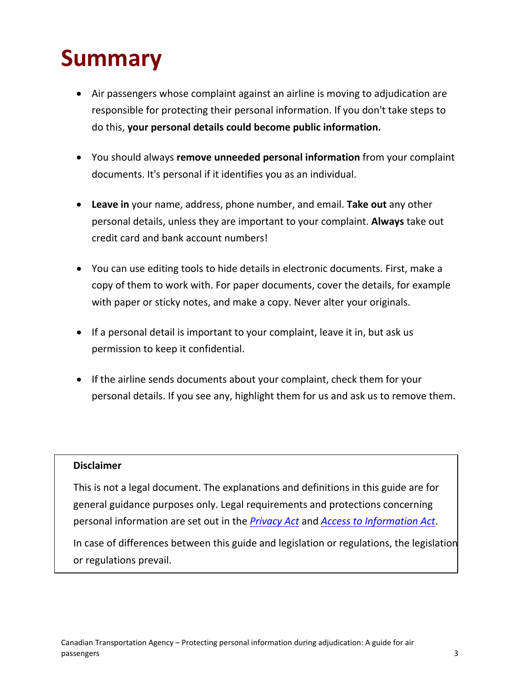## **Summary**

- Air passengers whose complaint against an airline is moving to adjudication are responsible for protecting their personal information. If you don't take steps to do this, **your personal details could become public information.**
- You should always **remove unneeded personal information** from your complaint documents. It's personal if it identifies you as an individual.
- **Leave in** your name, address, phone number, and email. **Take out** any other personal details, unless they are important to your complaint. **Always** take out credit card and bank account numbers!
- You can use editing tools to hide details in electronic documents. First, make a copy of them to work with. For paper documents, cover the details, for example with paper or sticky notes, and make a copy. Never alter your originals.
- If a personal detail is important to your complaint, leave it in, but ask us permission to keep it confidential.
- If the airline sends documents about your complaint, check them for your personal details. If you see any, highlight them for us and ask us to remove them.

#### **Disclaimer**

This is not a legal document. The explanations and definitions in this guide are for general guidance purposes only. Legal requirements and protections concerning personal information are set out in the *[Privacy Act](https://laws-lois.justice.gc.ca/eng/acts/P-21/)* and *[Access to Information Act](https://laws-lois.justice.gc.ca/eng/acts/a-1/)*.

In case of differences between this guide and legislation or regulations, the legislation or regulations prevail.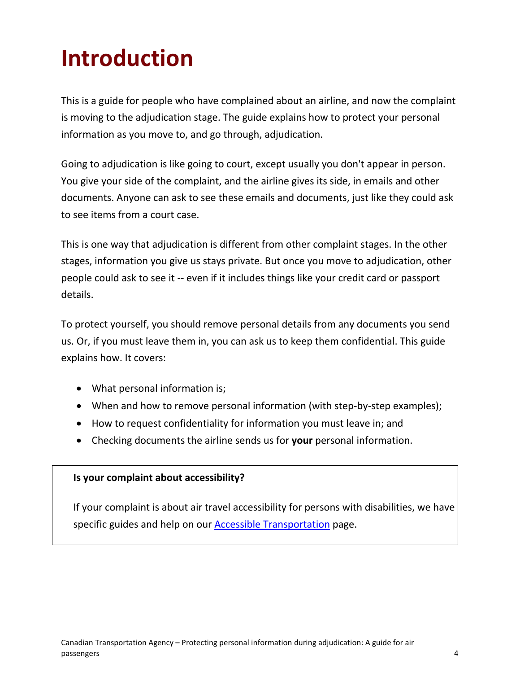## <span id="page-3-0"></span>**Introduction**

This is a guide for people who have complained about an airline, and now the complaint is moving to the adjudication stage. The guide explains how to protect your personal information as you move to, and go through, adjudication.

Going to adjudication is like going to court, except usually you don't appear in person. You give your side of the complaint, and the airline gives its side, in emails and other documents. Anyone can ask to see these emails and documents, just like they could ask to see items from a court case.

This is one way that adjudication is different from other complaint stages. In the other stages, information you give us stays private. But once you move to adjudication, other people could ask to see it -- even if it includes things like your credit card or passport details.

To protect yourself, you should remove personal details from any documents you send us. Or, if you must leave them in, you can ask us to keep them confidential. This guide explains how. It covers:

- What personal information is;
- When and how to remove personal information (with step-by-step examples);
- How to request confidentiality for information you must leave in; and
- Checking documents the airline sends us for **your** personal information.

#### <span id="page-3-1"></span>**Is your complaint about accessibility?**

If your complaint is about air travel accessibility for persons with disabilities, we have specific guides and help on our **Accessible Transportation** page.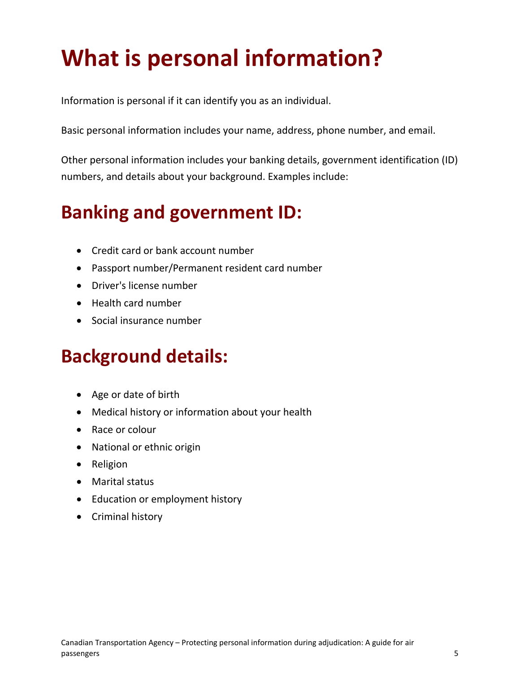## **What is personal information?**

Information is personal if it can identify you as an individual.

Basic personal information includes your name, address, phone number, and email.

Other personal information includes your banking details, government identification (ID) numbers, and details about your background. Examples include:

### <span id="page-4-0"></span>**Banking and government ID:**

- Credit card or bank account number
- Passport number/Permanent resident card number
- Driver's license number
- Health card number
- Social insurance number

#### <span id="page-4-1"></span>**Background details:**

- Age or date of birth
- Medical history or information about your health
- Race or colour
- National or ethnic origin
- Religion
- Marital status
- Education or employment history
- <span id="page-4-2"></span>• Criminal history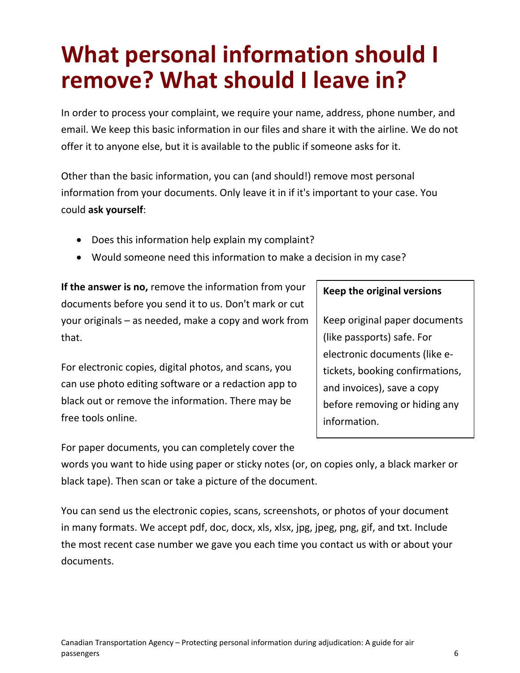## **What personal information should I remove? What should I leave in?**

In order to process your complaint, we require your name, address, phone number, and email. We keep this basic information in our files and share it with the airline. We do not offer it to anyone else, but it is available to the public if someone asks for it.

Other than the basic information, you can (and should!) remove most personal information from your documents. Only leave it in if it's important to your case. You could **ask yourself**:

- Does this information help explain my complaint?
- Would someone need this information to make a decision in my case?

**If the answer is no,** remove the information from your documents before you send it to us. Don't mark or cut your originals – as needed, make a copy and work from that.

For electronic copies, digital photos, and scans, you can use photo editing software or a redaction app to black out or remove the information. There may be free tools online.

For paper documents, you can completely cover the

#### **Keep the original versions**

Keep original paper documents (like passports) safe. For electronic documents (like etickets, booking confirmations, and invoices), save a copy before removing or hiding any information.

words you want to hide using paper or sticky notes (or, on copies only, a black marker or black tape). Then scan or take a picture of the document.

You can send us the electronic copies, scans, screenshots, or photos of your document in many formats. We accept pdf, doc, docx, xls, xlsx, jpg, jpeg, png, gif, and txt. Include the most recent case number we gave you each time you contact us with or about your documents.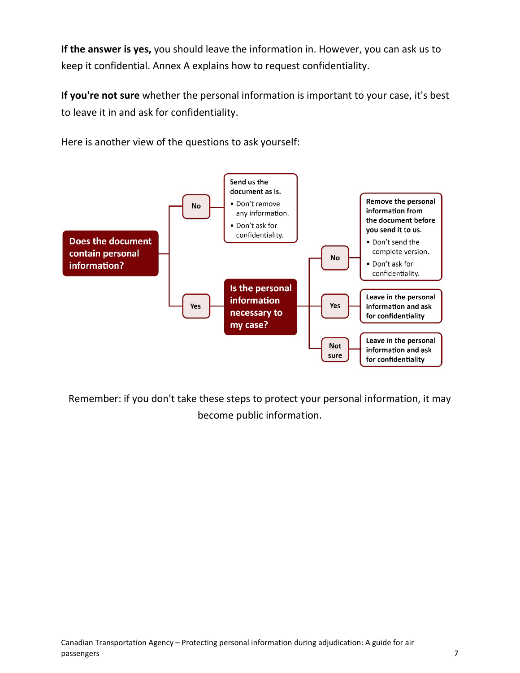**If the answer is yes,** you should leave the information in. However, you can ask us to keep it confidential. Annex A explains how to request confidentiality.

**If you're not sure** whether the personal information is important to your case, it's best to leave it in and ask for confidentiality.

Here is another view of the questions to ask yourself:



<span id="page-6-0"></span>Remember: if you don't take these steps to protect your personal information, it may become public information.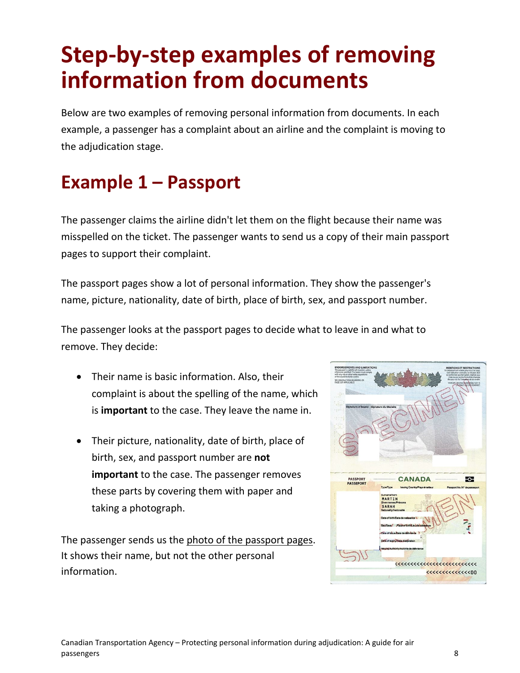## **Step-by-step examples of removing information from documents**

Below are two examples of removing personal information from documents. In each example, a passenger has a complaint about an airline and the complaint is moving to the adjudication stage.

### <span id="page-7-0"></span>**Example 1 – Passport**

The passenger claims the airline didn't let them on the flight because their name was misspelled on the ticket. The passenger wants to send us a copy of their main passport pages to support their complaint.

The passport pages show a lot of personal information. They show the passenger's name, picture, nationality, date of birth, place of birth, sex, and passport number.

The passenger looks at the passport pages to decide what to leave in and what to remove. They decide:

- Their name is basic information. Also, their complaint is about the spelling of the name, which is **important** to the case. They leave the name in.
- Their picture, nationality, date of birth, place of birth, sex, and passport number are **not important** to the case. The passenger removes these parts by covering them with paper and taking a photograph.

The passenger sends us the photo of the passport pages. It shows their name, but not the other personal information.

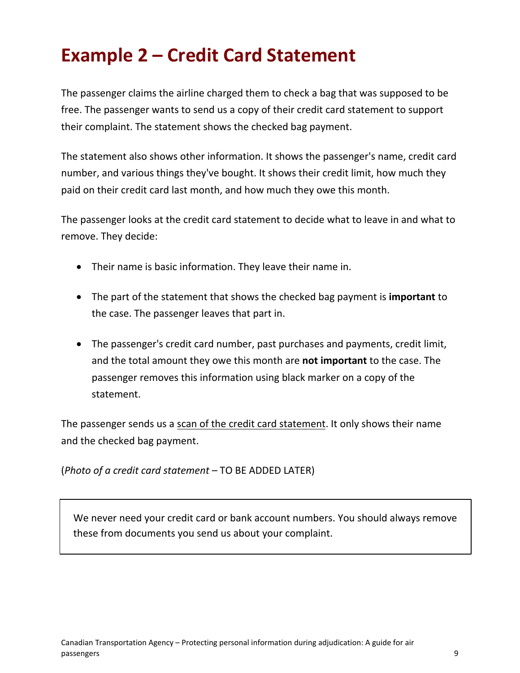### <span id="page-8-0"></span>**Example 2 – Credit Card Statement**

The passenger claims the airline charged them to check a bag that was supposed to be free. The passenger wants to send us a copy of their credit card statement to support their complaint. The statement shows the checked bag payment.

The statement also shows other information. It shows the passenger's name, credit card number, and various things they've bought. It shows their credit limit, how much they paid on their credit card last month, and how much they owe this month.

The passenger looks at the credit card statement to decide what to leave in and what to remove. They decide:

- Their name is basic information. They leave their name in.
- The part of the statement that shows the checked bag payment is **important** to the case. The passenger leaves that part in.
- The passenger's credit card number, past purchases and payments, credit limit, and the total amount they owe this month are **not important** to the case. The passenger removes this information using black marker on a copy of the statement.

The passenger sends us a scan of the credit card statement. It only shows their name and the checked bag payment.

(*Photo of a credit card statement –* TO BE ADDED LATER)

<span id="page-8-1"></span>We never need your credit card or bank account numbers. You should always remove these from documents you send us about your complaint.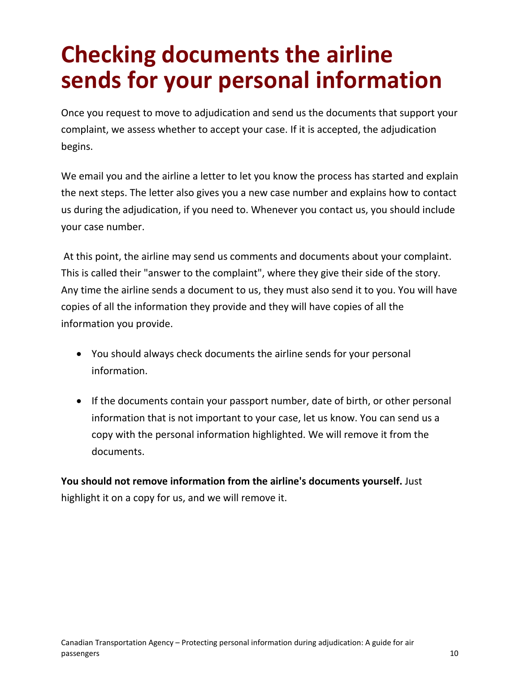## **Checking documents the airline sends for your personal information**

Once you request to move to adjudication and send us the documents that support your complaint, we assess whether to accept your case. If it is accepted, the adjudication begins.

We email you and the airline a letter to let you know the process has started and explain the next steps. The letter also gives you a new case number and explains how to contact us during the adjudication, if you need to. Whenever you contact us, you should include your case number.

At this point, the airline may send us comments and documents about your complaint. This is called their "answer to the complaint", where they give their side of the story. Any time the airline sends a document to us, they must also send it to you. You will have copies of all the information they provide and they will have copies of all the information you provide.

- You should always check documents the airline sends for your personal information.
- If the documents contain your passport number, date of birth, or other personal information that is not important to your case, let us know. You can send us a copy with the personal information highlighted. We will remove it from the documents.

<span id="page-9-0"></span>**You should not remove information from the airline's documents yourself.** Just highlight it on a copy for us, and we will remove it.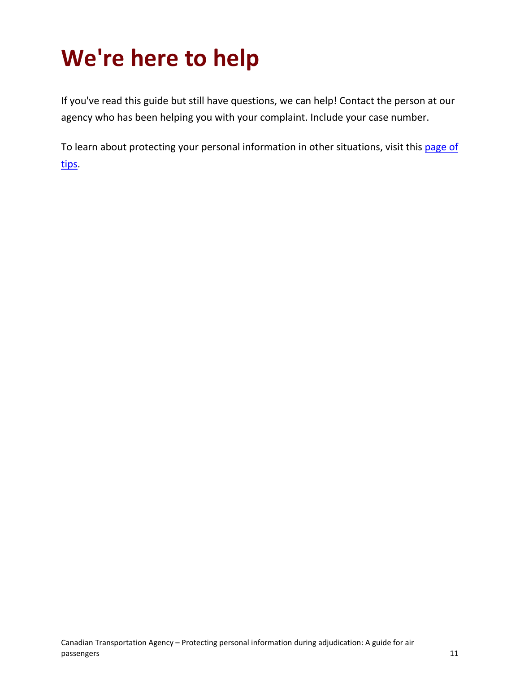## **We're here to help**

If you've read this guide but still have questions, we can help! Contact the person at our agency who has been helping you with your complaint. Include your case number.

To learn about protecting your personal information in other situations, visit this page of [tips.](https://www.priv.gc.ca/en/privacy-topics/information-and-advice-for-individuals/your-privacy-rights/02_05_d_64_tips/)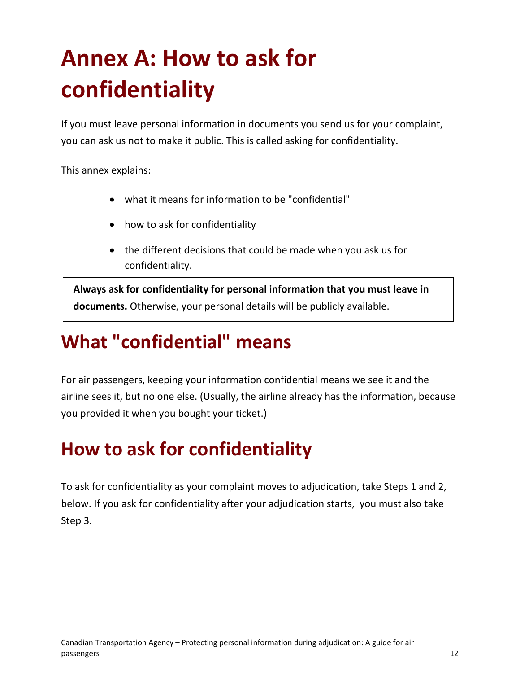## <span id="page-11-0"></span>**Annex A: How to ask for confidentiality**

If you must leave personal information in documents you send us for your complaint, you can ask us not to make it public. This is called asking for confidentiality.

This annex explains:

- what it means for information to be "confidential"
- how to ask for confidentiality
- the different decisions that could be made when you ask us for confidentiality.

<span id="page-11-1"></span>**Always ask for confidentiality for personal information that you must leave in documents.** Otherwise, your personal details will be publicly available.

#### **What "confidential" means**

For air passengers, keeping your information confidential means we see it and the airline sees it, but no one else. (Usually, the airline already has the information, because you provided it when you bought your ticket.)

### <span id="page-11-2"></span>**How to ask for confidentiality**

To ask for confidentiality as your complaint moves to adjudication, take Steps 1 and 2, below. If you ask for confidentiality after your adjudication starts, you must also take Step 3.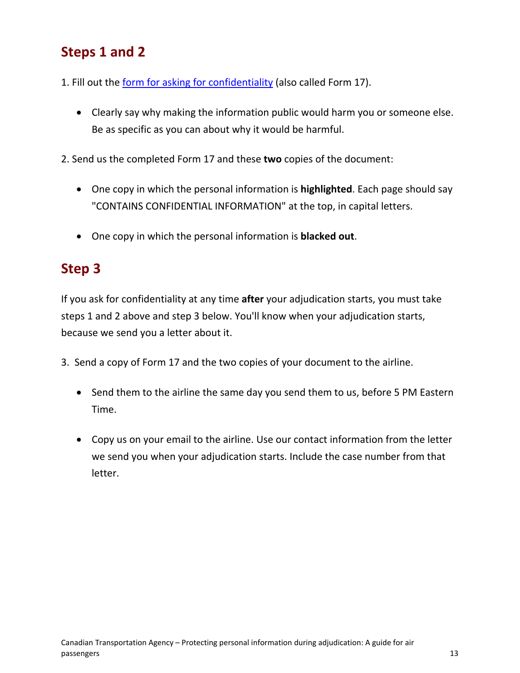#### **Steps 1 and 2**

- 1. Fill out the [form for asking for](https://services2.otc-cta.gc.ca/eng/form/form-17-request-confidentiality) confidentiality (also called Form 17).
	- Clearly say why making the information public would harm you or someone else. Be as specific as you can about why it would be harmful.
- 2. Send us the completed Form 17 and these **two** copies of the document:
	- One copy in which the personal information is **highlighted**. Each page should say "CONTAINS CONFIDENTIAL INFORMATION" at the top, in capital letters.
	- One copy in which the personal information is **blacked out**.

#### **Step 3**

If you ask for confidentiality at any time **after** your adjudication starts, you must take steps 1 and 2 above and step 3 below. You'll know when your adjudication starts, because we send you a letter about it.

- <span id="page-12-0"></span>3. Send a copy of Form 17 and the two copies of your document to the airline.
	- Send them to the airline the same day you send them to us, before 5 PM Eastern Time.
	- Copy us on your email to the airline. Use our contact information from the letter we send you when your adjudication starts. Include the case number from that letter.